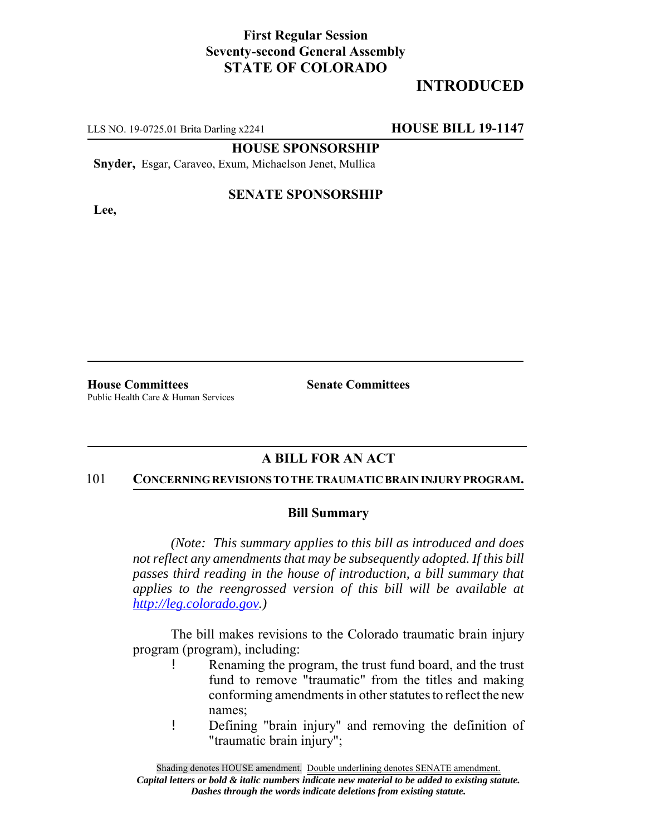## **First Regular Session Seventy-second General Assembly STATE OF COLORADO**

# **INTRODUCED**

LLS NO. 19-0725.01 Brita Darling x2241 **HOUSE BILL 19-1147**

**HOUSE SPONSORSHIP**

**Snyder,** Esgar, Caraveo, Exum, Michaelson Jenet, Mullica

**Lee,**

### **SENATE SPONSORSHIP**

**House Committees Senate Committees** Public Health Care & Human Services

## **A BILL FOR AN ACT**

#### 101 **CONCERNING REVISIONS TO THE TRAUMATIC BRAIN INJURY PROGRAM.**

#### **Bill Summary**

*(Note: This summary applies to this bill as introduced and does not reflect any amendments that may be subsequently adopted. If this bill passes third reading in the house of introduction, a bill summary that applies to the reengrossed version of this bill will be available at http://leg.colorado.gov.)*

The bill makes revisions to the Colorado traumatic brain injury program (program), including:

- ! Renaming the program, the trust fund board, and the trust fund to remove "traumatic" from the titles and making conforming amendments in other statutes to reflect the new names;
- ! Defining "brain injury" and removing the definition of "traumatic brain injury";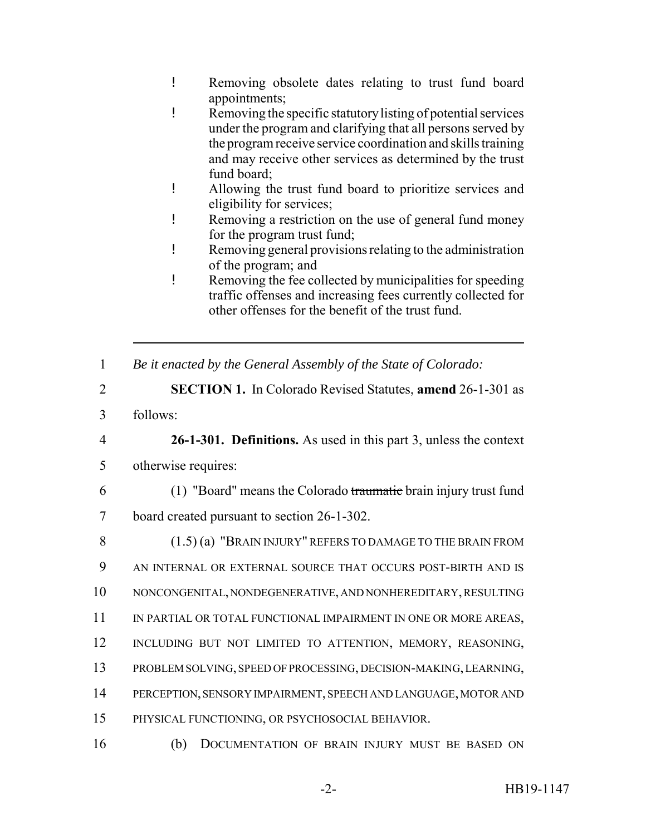- ! Removing obsolete dates relating to trust fund board appointments;
- ! Removing the specific statutory listing of potential services under the program and clarifying that all persons served by the program receive service coordination and skills training and may receive other services as determined by the trust fund board;
- ! Allowing the trust fund board to prioritize services and eligibility for services;
- ! Removing a restriction on the use of general fund money for the program trust fund;
- ! Removing general provisions relating to the administration of the program; and
- ! Removing the fee collected by municipalities for speeding traffic offenses and increasing fees currently collected for other offenses for the benefit of the trust fund.
- 1 *Be it enacted by the General Assembly of the State of Colorado:*
- 2 **SECTION 1.** In Colorado Revised Statutes, **amend** 26-1-301 as
- 3 follows:

4 **26-1-301. Definitions.** As used in this part 3, unless the context 5 otherwise requires:

- 
- 6 (1) "Board" means the Colorado traumatic brain injury trust fund 7 board created pursuant to section 26-1-302.
- 8 (1.5) (a) "BRAIN INJURY" REFERS TO DAMAGE TO THE BRAIN FROM
- 9 AN INTERNAL OR EXTERNAL SOURCE THAT OCCURS POST-BIRTH AND IS
- 10 NONCONGENITAL, NONDEGENERATIVE, AND NONHEREDITARY, RESULTING
- 11 IN PARTIAL OR TOTAL FUNCTIONAL IMPAIRMENT IN ONE OR MORE AREAS,
- 12 INCLUDING BUT NOT LIMITED TO ATTENTION, MEMORY, REASONING,
- 13 PROBLEM SOLVING, SPEED OF PROCESSING, DECISION-MAKING, LEARNING,
- 14 PERCEPTION, SENSORY IMPAIRMENT, SPEECH AND LANGUAGE, MOTOR AND
- 15 PHYSICAL FUNCTIONING, OR PSYCHOSOCIAL BEHAVIOR.
- 16 (b) DOCUMENTATION OF BRAIN INJURY MUST BE BASED ON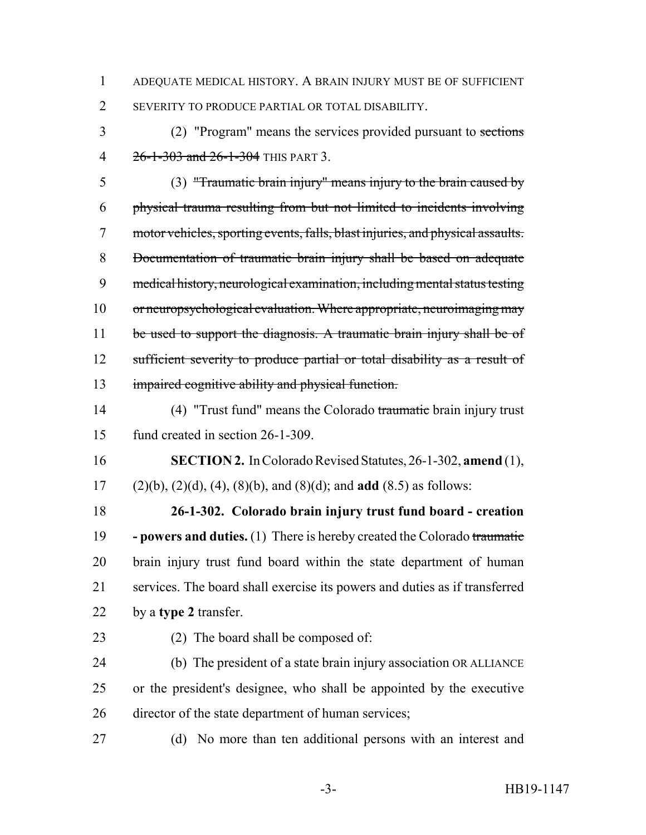- ADEQUATE MEDICAL HISTORY. A BRAIN INJURY MUST BE OF SUFFICIENT SEVERITY TO PRODUCE PARTIAL OR TOTAL DISABILITY.
- (2) "Program" means the services provided pursuant to sections 4 26-1-303 and 26-1-304 THIS PART 3.

 (3) "Traumatic brain injury" means injury to the brain caused by physical trauma resulting from but not limited to incidents involving motor vehicles, sporting events, falls, blast injuries, and physical assaults. Documentation of traumatic brain injury shall be based on adequate medical history, neurological examination, including mental status testing or neuropsychological evaluation. Where appropriate, neuroimaging may 11 be used to support the diagnosis. A traumatic brain injury shall be of 12 sufficient severity to produce partial or total disability as a result of impaired cognitive ability and physical function.

 (4) "Trust fund" means the Colorado traumatic brain injury trust fund created in section 26-1-309.

- **SECTION 2.** In Colorado Revised Statutes, 26-1-302, **amend** (1),
	- (2)(b), (2)(d), (4), (8)(b), and (8)(d); and **add** (8.5) as follows:

 **26-1-302. Colorado brain injury trust fund board - creation - powers and duties.** (1) There is hereby created the Colorado traumatic brain injury trust fund board within the state department of human services. The board shall exercise its powers and duties as if transferred by a **type 2** transfer.

(2) The board shall be composed of:

 (b) The president of a state brain injury association OR ALLIANCE or the president's designee, who shall be appointed by the executive director of the state department of human services;

(d) No more than ten additional persons with an interest and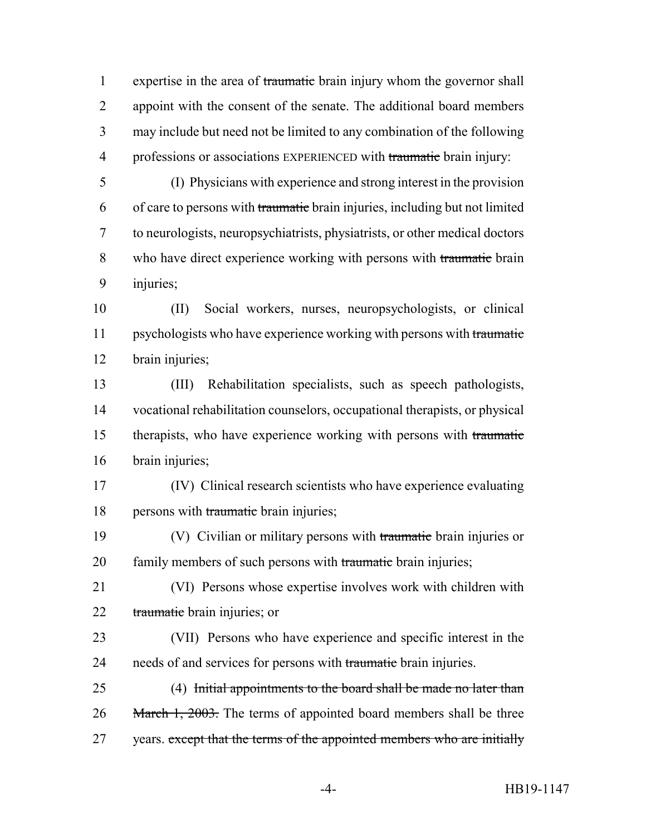1 expertise in the area of traumatic brain injury whom the governor shall appoint with the consent of the senate. The additional board members may include but need not be limited to any combination of the following 4 professions or associations EXPERIENCED with traumatic brain injury:

- (I) Physicians with experience and strong interest in the provision of care to persons with traumatic brain injuries, including but not limited to neurologists, neuropsychiatrists, physiatrists, or other medical doctors who have direct experience working with persons with traumatic brain injuries;
- (II) Social workers, nurses, neuropsychologists, or clinical 11 psychologists who have experience working with persons with traumatic brain injuries;

 (III) Rehabilitation specialists, such as speech pathologists, vocational rehabilitation counselors, occupational therapists, or physical therapists, who have experience working with persons with traumatic brain injuries;

- (IV) Clinical research scientists who have experience evaluating 18 persons with traumatic brain injuries;
- 19 (V) Civilian or military persons with traumatic brain injuries or 20 family members of such persons with traumatic brain injuries;
- (VI) Persons whose expertise involves work with children with traumatic brain injuries; or
- (VII) Persons who have experience and specific interest in the 24 needs of and services for persons with traumatic brain injuries.
- (4) Initial appointments to the board shall be made no later than 26 March 1, 2003. The terms of appointed board members shall be three 27 years. except that the terms of the appointed members who are initially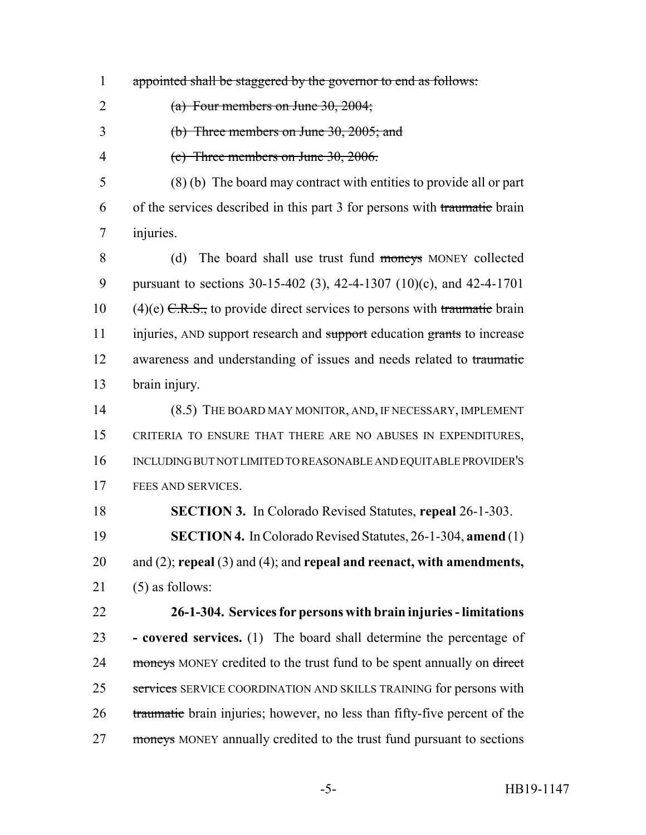- appointed shall be staggered by the governor to end as follows:
- 2  $(a)$  Four members on June 30, 2004;
- (b) Three members on June 30, 2005; and
- (c) Three members on June 30, 2006.

 (8) (b) The board may contract with entities to provide all or part of the services described in this part 3 for persons with traumatic brain injuries.

8 (d) The board shall use trust fund moneys MONEY collected pursuant to sections 30-15-402 (3), 42-4-1307 (10)(c), and 42-4-1701 10 (4)(e)  $C.R.S.,$  to provide direct services to persons with traumatic brain 11 injuries, AND support research and support education grants to increase 12 awareness and understanding of issues and needs related to traumatic brain injury.

 (8.5) THE BOARD MAY MONITOR, AND, IF NECESSARY, IMPLEMENT CRITERIA TO ENSURE THAT THERE ARE NO ABUSES IN EXPENDITURES, INCLUDING BUT NOT LIMITED TO REASONABLE AND EQUITABLE PROVIDER'S FEES AND SERVICES.

**SECTION 3.** In Colorado Revised Statutes, **repeal** 26-1-303.

 **SECTION 4.** In Colorado Revised Statutes, 26-1-304, **amend** (1) and (2); **repeal** (3) and (4); and **repeal and reenact, with amendments,** (5) as follows:

 **26-1-304. Services for persons with brain injuries - limitations - covered services.** (1) The board shall determine the percentage of 24 moneys MONEY credited to the trust fund to be spent annually on direct 25 services SERVICE COORDINATION AND SKILLS TRAINING for persons with 26 traumatic brain injuries; however, no less than fifty-five percent of the 27 moneys MONEY annually credited to the trust fund pursuant to sections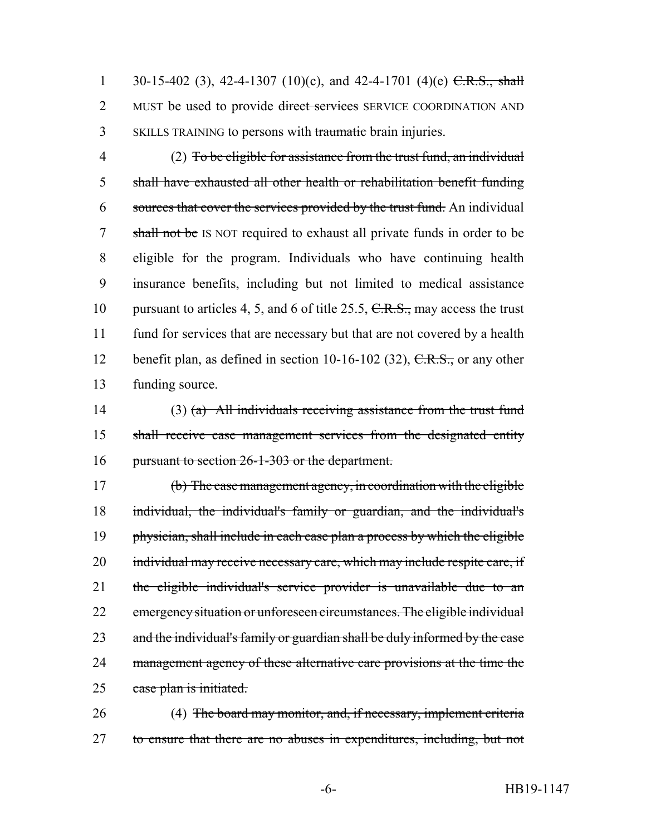1 30-15-402 (3), 42-4-1307 (10)(c), and 42-4-1701 (4)(e) C.R.S., shall 2 MUST be used to provide direct services SERVICE COORDINATION AND 3 SKILLS TRAINING to persons with traumatic brain injuries.

 (2) To be eligible for assistance from the trust fund, an individual shall have exhausted all other health or rehabilitation benefit funding sources that cover the services provided by the trust fund. An individual 7 shall not be IS NOT required to exhaust all private funds in order to be eligible for the program. Individuals who have continuing health insurance benefits, including but not limited to medical assistance 10 pursuant to articles 4, 5, and 6 of title 25.5, C.R.S., may access the trust fund for services that are necessary but that are not covered by a health 12 benefit plan, as defined in section  $10-16-102$  (32),  $C.R.S.,$  or any other funding source.

14 (3) (a) All individuals receiving assistance from the trust fund 15 shall receive case management services from the designated entity 16 pursuant to section 26-1-303 or the department.

17 (b) The case management agency, in coordination with the eligible 18 individual, the individual's family or guardian, and the individual's 19 physician, shall include in each case plan a process by which the eligible 20 individual may receive necessary care, which may include respite care, if 21 the eligible individual's service provider is unavailable due to an 22 emergency situation or unforeseen circumstances. The eligible individual 23 and the individual's family or guardian shall be duly informed by the case 24 management agency of these alternative care provisions at the time the 25 case plan is initiated.

26 (4) The board may monitor, and, if necessary, implement criteria 27 to ensure that there are no abuses in expenditures, including, but not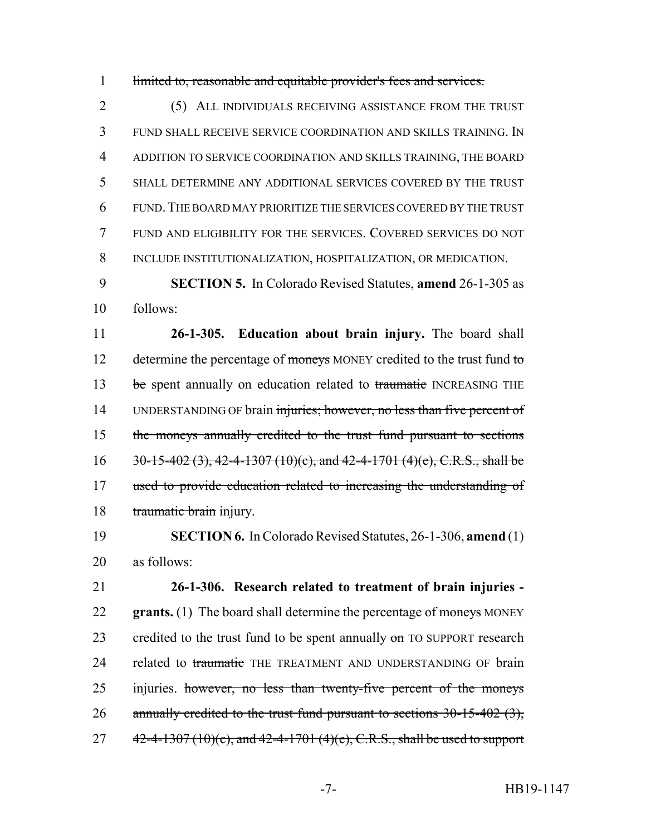1 limited to, reasonable and equitable provider's fees and services.

 (5) ALL INDIVIDUALS RECEIVING ASSISTANCE FROM THE TRUST FUND SHALL RECEIVE SERVICE COORDINATION AND SKILLS TRAINING. IN ADDITION TO SERVICE COORDINATION AND SKILLS TRAINING, THE BOARD SHALL DETERMINE ANY ADDITIONAL SERVICES COVERED BY THE TRUST FUND.THE BOARD MAY PRIORITIZE THE SERVICES COVERED BY THE TRUST FUND AND ELIGIBILITY FOR THE SERVICES. COVERED SERVICES DO NOT INCLUDE INSTITUTIONALIZATION, HOSPITALIZATION, OR MEDICATION.

9 **SECTION 5.** In Colorado Revised Statutes, **amend** 26-1-305 as 10 follows:

11 **26-1-305. Education about brain injury.** The board shall 12 determine the percentage of moneys MONEY credited to the trust fund to 13 be spent annually on education related to traumatic INCREASING THE 14 UNDERSTANDING OF brain injuries; however, no less than five percent of 15 the moneys annually credited to the trust fund pursuant to sections 16  $30-15-402(3)$ , 42-4-1307 (10)(c), and 42-4-1701 (4)(e), C.R.S., shall be 17 used to provide education related to increasing the understanding of 18 traumatic brain injury.

19 **SECTION 6.** In Colorado Revised Statutes, 26-1-306, **amend** (1) 20 as follows:

21 **26-1-306. Research related to treatment of brain injuries -** 22 **grants.** (1) The board shall determine the percentage of moneys MONEY 23 credited to the trust fund to be spent annually  $\sigma$  TO SUPPORT research 24 related to traumatic THE TREATMENT AND UNDERSTANDING OF brain 25 injuries. however, no less than twenty-five percent of the moneys 26 annually credited to the trust fund pursuant to sections  $30-15-402$  (3), 27  $42-4-1307(10)(c)$ , and  $42-4-1701(4)(e)$ , C.R.S., shall be used to support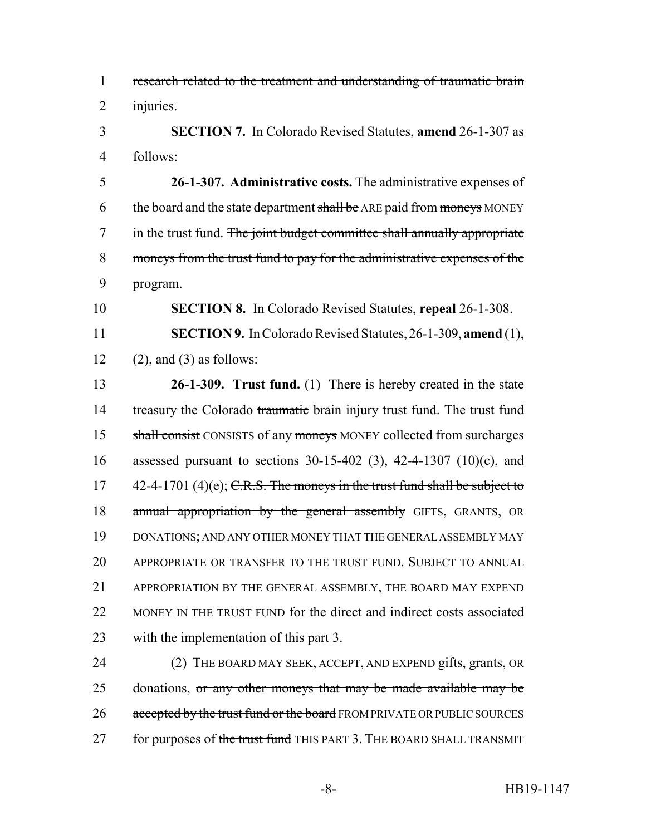research related to the treatment and understanding of traumatic brain injuries.

 **SECTION 7.** In Colorado Revised Statutes, **amend** 26-1-307 as follows:

 **26-1-307. Administrative costs.** The administrative expenses of 6 the board and the state department shall be ARE paid from moneys MONEY 7 in the trust fund. The joint budget committee shall annually appropriate moneys from the trust fund to pay for the administrative expenses of the program.

**SECTION 8.** In Colorado Revised Statutes, **repeal** 26-1-308.

 **SECTION 9.** In Colorado Revised Statutes, 26-1-309, **amend** (1), 12 (2), and (3) as follows:

 **26-1-309. Trust fund.** (1) There is hereby created in the state 14 treasury the Colorado traumatic brain injury trust fund. The trust fund 15 shall consist CONSISTS of any moneys MONEY collected from surcharges assessed pursuant to sections 30-15-402 (3), 42-4-1307 (10)(c), and  $42-4-1701$  (4)(e); C.R.S. The moneys in the trust fund shall be subject to 18 annual appropriation by the general assembly GIFTS, GRANTS, OR DONATIONS; AND ANY OTHER MONEY THAT THE GENERAL ASSEMBLY MAY APPROPRIATE OR TRANSFER TO THE TRUST FUND. SUBJECT TO ANNUAL APPROPRIATION BY THE GENERAL ASSEMBLY, THE BOARD MAY EXPEND MONEY IN THE TRUST FUND for the direct and indirect costs associated with the implementation of this part 3.

 (2) THE BOARD MAY SEEK, ACCEPT, AND EXPEND gifts, grants, OR 25 donations, or any other moneys that may be made available may be 26 accepted by the trust fund or the board FROM PRIVATE OR PUBLIC SOURCES 27 for purposes of the trust fund THIS PART 3. THE BOARD SHALL TRANSMIT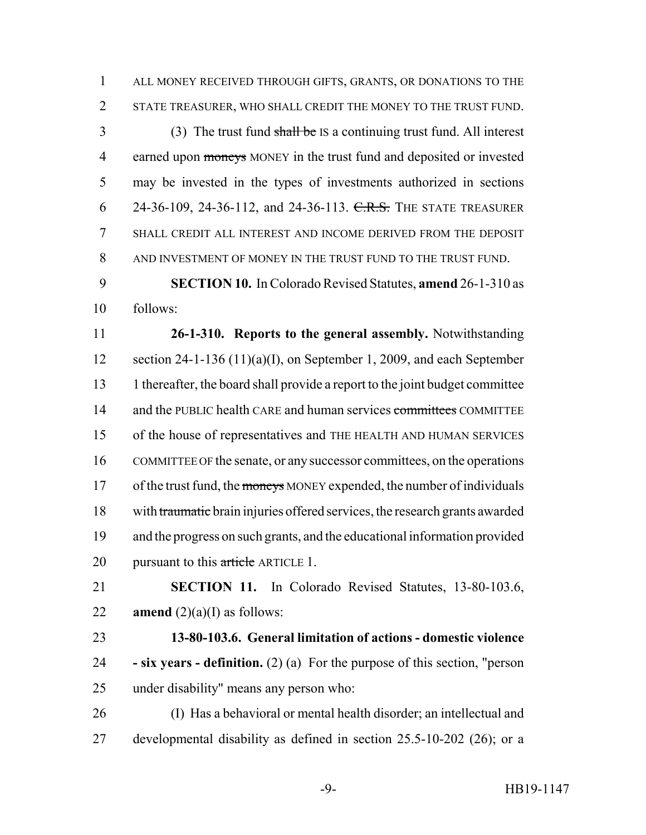ALL MONEY RECEIVED THROUGH GIFTS, GRANTS, OR DONATIONS TO THE STATE TREASURER, WHO SHALL CREDIT THE MONEY TO THE TRUST FUND.

 (3) The trust fund shall be IS a continuing trust fund. All interest 4 earned upon moneys MONEY in the trust fund and deposited or invested may be invested in the types of investments authorized in sections 6 24-36-109, 24-36-112, and 24-36-113. C.R.S. THE STATE TREASURER SHALL CREDIT ALL INTEREST AND INCOME DERIVED FROM THE DEPOSIT AND INVESTMENT OF MONEY IN THE TRUST FUND TO THE TRUST FUND.

 **SECTION 10.** In Colorado Revised Statutes, **amend** 26-1-310 as follows:

 **26-1-310. Reports to the general assembly.** Notwithstanding section 24-1-136 (11)(a)(I), on September 1, 2009, and each September 1 thereafter, the board shall provide a report to the joint budget committee 14 and the PUBLIC health CARE and human services committees COMMITTEE of the house of representatives and THE HEALTH AND HUMAN SERVICES COMMITTEE OF the senate, or any successor committees, on the operations 17 of the trust fund, the moneys MONEY expended, the number of individuals with traumatic brain injuries offered services, the research grants awarded and the progress on such grants, and the educational information provided 20 pursuant to this article ARTICLE 1.

 **SECTION 11.** In Colorado Revised Statutes, 13-80-103.6, 22 **amend**  $(2)(a)(I)$  as follows:

 **13-80-103.6. General limitation of actions - domestic violence - six years - definition.** (2) (a) For the purpose of this section, "person under disability" means any person who:

 (I) Has a behavioral or mental health disorder; an intellectual and developmental disability as defined in section 25.5-10-202 (26); or a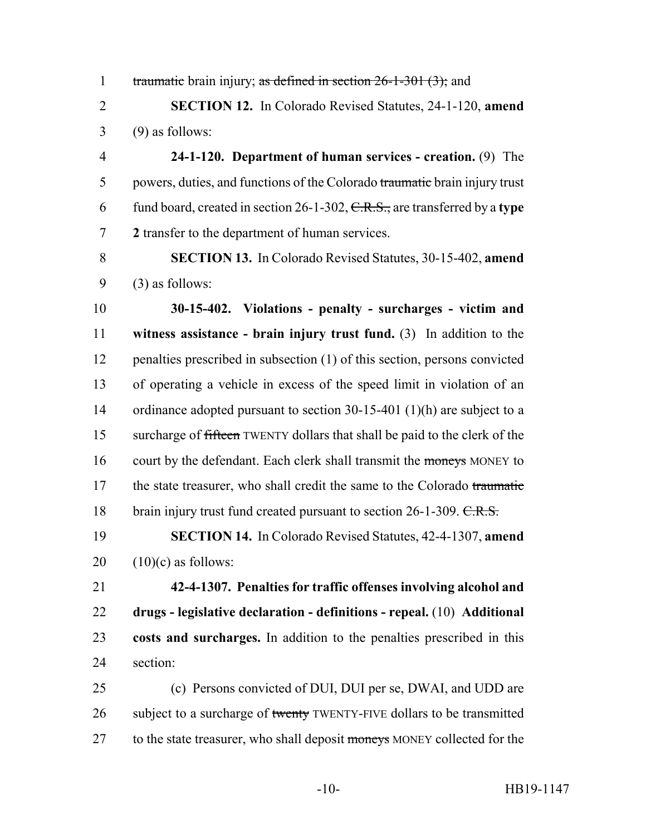1 traumatic brain injury; as defined in section 26-1-301 (3); and

 **SECTION 12.** In Colorado Revised Statutes, 24-1-120, **amend** (9) as follows:

 **24-1-120. Department of human services - creation.** (9) The 5 powers, duties, and functions of the Colorado traumatic brain injury trust fund board, created in section 26-1-302, C.R.S., are transferred by a **type 2** transfer to the department of human services.

 **SECTION 13.** In Colorado Revised Statutes, 30-15-402, **amend** (3) as follows:

 **30-15-402. Violations - penalty - surcharges - victim and witness assistance - brain injury trust fund.** (3) In addition to the penalties prescribed in subsection (1) of this section, persons convicted of operating a vehicle in excess of the speed limit in violation of an 14 ordinance adopted pursuant to section 30-15-401 (1)(h) are subject to a 15 surcharge of fifteen TWENTY dollars that shall be paid to the clerk of the 16 court by the defendant. Each clerk shall transmit the moneys MONEY to 17 the state treasurer, who shall credit the same to the Colorado traumatic 18 brain injury trust fund created pursuant to section 26-1-309. C.R.S.

 **SECTION 14.** In Colorado Revised Statutes, 42-4-1307, **amend**  $20 \quad (10)(c)$  as follows:

 **42-4-1307. Penalties for traffic offenses involving alcohol and drugs - legislative declaration - definitions - repeal.** (10) **Additional costs and surcharges.** In addition to the penalties prescribed in this section:

 (c) Persons convicted of DUI, DUI per se, DWAI, and UDD are 26 subject to a surcharge of twenty TWENTY-FIVE dollars to be transmitted 27 to the state treasurer, who shall deposit moneys MONEY collected for the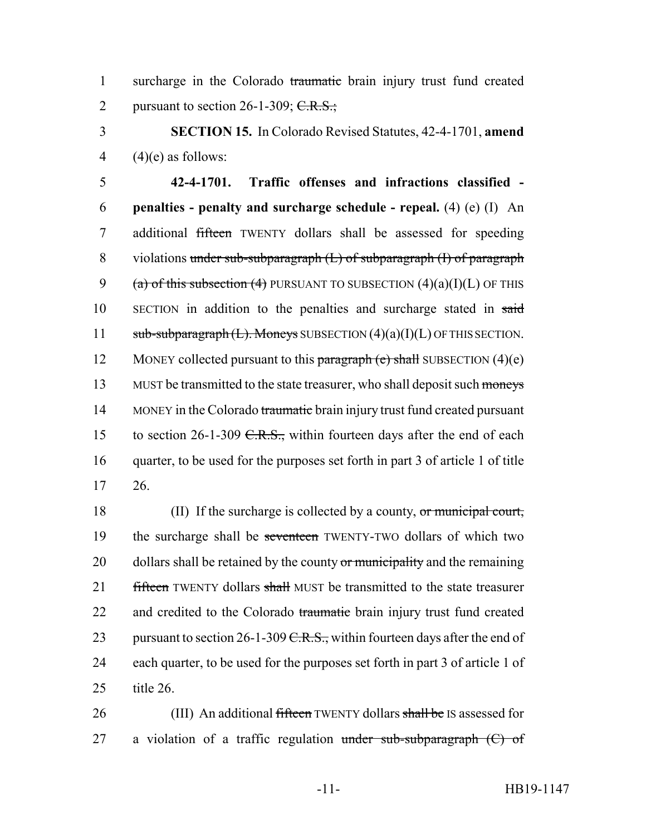1 surcharge in the Colorado traumatic brain injury trust fund created 2 pursuant to section  $26-1-309$ ; C.R.S.;

3 **SECTION 15.** In Colorado Revised Statutes, 42-4-1701, **amend** 4  $(4)$ (e) as follows:

5 **42-4-1701. Traffic offenses and infractions classified -** 6 **penalties - penalty and surcharge schedule - repeal.** (4) (e) (I) An 7 additional fifteen TWENTY dollars shall be assessed for speeding 8 violations under sub-subparagraph (L) of subparagraph (I) of paragraph 9 (a) of this subsection (4) PURSUANT TO SUBSECTION  $(4)(a)(I)(L)$  OF THIS 10 SECTION in addition to the penalties and surcharge stated in said 11  $sub-sub-subparagnb(t)$ . Moneys SUBSECTION  $(4)(a)(I)(L)$  OF THIS SECTION. 12 MONEY collected pursuant to this paragraph  $(e)$  shall SUBSECTION  $(4)(e)$ 13 MUST be transmitted to the state treasurer, who shall deposit such moneys 14 MONEY in the Colorado traumatic brain injury trust fund created pursuant 15 to section 26-1-309 C.R.S., within fourteen days after the end of each 16 quarter, to be used for the purposes set forth in part 3 of article 1 of title 17 26.

18 (II) If the surcharge is collected by a county, or municipal court, 19 the surcharge shall be seventeen TWENTY-TWO dollars of which two 20 dollars shall be retained by the county or municipality and the remaining 21 fifteen TWENTY dollars shall MUST be transmitted to the state treasurer 22 and credited to the Colorado traumatic brain injury trust fund created 23 pursuant to section 26-1-309 C.R.S., within fourteen days after the end of 24 each quarter, to be used for the purposes set forth in part 3 of article 1 of 25 title 26.

26 (III) An additional fifteen TWENTY dollars shall be IS assessed for 27 a violation of a traffic regulation under sub-subparagraph  $(C)$  of